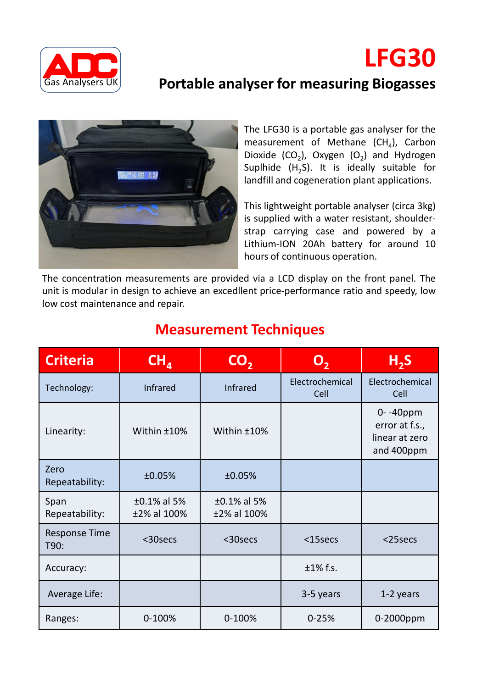

## **Portable analyser for measuring Biogasses**



The LFG30 is a portable gas analyser for the measurement of Methane (CH<sub>4</sub>), Carbon Dioxide (CO<sub>2</sub>), Oxygen (O<sub>2</sub>) and Hydrogen Suplhide (H<sub>2</sub>S). It is ideally suitable for landfill and cogeneration plant applications.

**LFG30**

This lightweight portable analyser (circa 3kg) is supplied with a water resistant, shoulderstrap carrying case and powered by a Lithium-ION 20Ah battery for around 10 hours of continuous operation.

The concentration measurements are provided via a LCD display on the front panel. The unit is modular in design to achieve an excedllent price-performance ratio and speedy, low low cost maintenance and repair.

| <b>Criteria</b>              | CH <sub>4</sub>            | CO <sub>2</sub>            | O,                      | H <sub>2</sub> S                                           |
|------------------------------|----------------------------|----------------------------|-------------------------|------------------------------------------------------------|
| Technology:                  | <b>Infrared</b>            | <b>Infrared</b>            | Electrochemical<br>Cell | Electrochemical<br>Cell                                    |
| Linearity:                   | Within ±10%                | Within ±10%                |                         | 0--40ppm<br>error at f.s.,<br>linear at zero<br>and 400ppm |
| Zero<br>Repeatability:       | ±0.05%                     | ±0.05%                     |                         |                                                            |
| Span<br>Repeatability:       | ±0.1% al 5%<br>±2% al 100% | ±0.1% al 5%<br>±2% al 100% |                         |                                                            |
| <b>Response Time</b><br>T90: | <30secs                    | <30secs                    | $15$ secs               | <25secs                                                    |
| Accuracy:                    |                            |                            | $±1\%$ f.s.             |                                                            |
| Average Life:                |                            |                            | 3-5 years               | 1-2 years                                                  |
| Ranges:                      | 0-100%                     | 0-100%                     | $0 - 25%$               | 0-2000ppm                                                  |

## **Measurement Techniques**